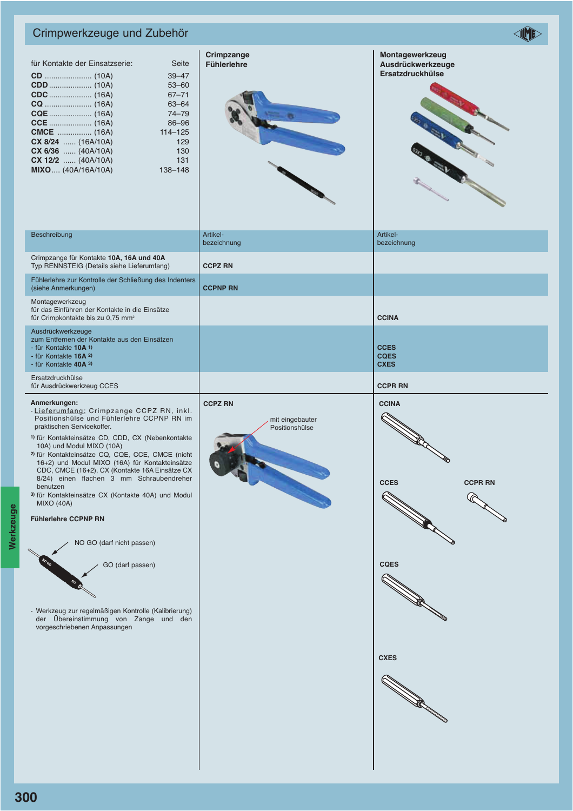## Crimpwerkzeuge und Zubehör

| für Kontakte der Einsatzserie: | Seite       |
|--------------------------------|-------------|
|                                | $39 - 47$   |
|                                | $53 - 60$   |
|                                | $67 - 71$   |
|                                | $63 - 64$   |
|                                | $74 - 79$   |
|                                | 86-96       |
| <b>CMCE</b> (16A)              | $114 - 125$ |
| $CX 8/24$ (16A/10A)            | 129         |
| $CX 6/36$ (40A/10A)            | 130         |
| $CX 12/2$ (40A/10A)            | 131         |
| <b>MIXO</b> (40A/16A/10A)      | 138-148     |
|                                |             |





| Beschreibung                                                                                                                                 | Artikel-<br>bezeichnung | Artikel-<br>bezeichnung                   |
|----------------------------------------------------------------------------------------------------------------------------------------------|-------------------------|-------------------------------------------|
| Crimpzange für Kontakte 10A, 16A und 40A<br>Typ RENNSTEIG (Details siehe Lieferumfang)                                                       | <b>CCPZ RN</b>          |                                           |
| Fühlerlehre zur Kontrolle der Schließung des Indenters<br>(siehe Anmerkungen)                                                                | <b>CCPNP RN</b>         |                                           |
| Montagewerkzeug<br>für das Einführen der Kontakte in die Einsätze<br>für Crimpkontakte bis zu 0,75 mm <sup>2</sup>                           |                         | <b>CCINA</b>                              |
| Ausdrückwerkzeuge<br>zum Entfernen der Kontakte aus den Einsätzen<br>- für Kontakte 10A 1)<br>- für Kontakte 16A 2)<br>- für Kontakte 40A 3) |                         | <b>CCES</b><br><b>COES</b><br><b>CXES</b> |

Ersatzdruckhülse für Ausdrückwerkzeug CCES **CCPR RN**

#### **Anmerkungen:**

- Lieferumfang: Crimpzange CCPZ RN, inkl. Positionshülse und Fühlerlehre CCPNP RN im praktischen Servicekoffer.
- **1)** für Kontakteinsätze CD, CDD, CX (Nebenkontakte 10A) und Modul MIXO (10A)
- **2)** für Kontakteinsätze CQ, CQE, CCE, CMCE (nicht 16+2) und Modul MIXO (16A) für Kontakteinsätze CDC, CMCE (16+2), CX (Kontakte 16A Einsätze CX 8/24) einen flachen 3 mm Schraubendreher benutzen
- **3)** für Kontakteinsätze CX (Kontakte 40A) und Modul MIXO (40A)

#### **Fühlerlehre CCPNP RN**



NO GO (darf nicht passen)

GO (darf passen)

- Werkzeug zur regelmäßigen Kontrolle (Kalibrierung) der Übereinstimmung von Zange und den vorgeschriebenen Anpassungen